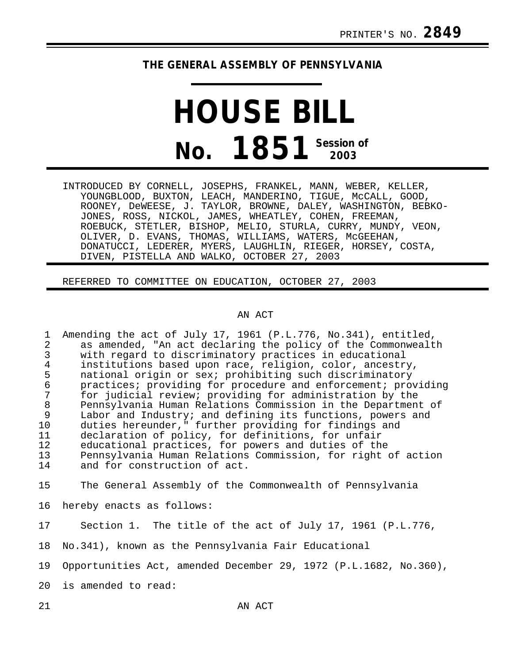## **THE GENERAL ASSEMBLY OF PENNSYLVANIA**

## **HOUSE BILL No. 1851 Session of 2003**

INTRODUCED BY CORNELL, JOSEPHS, FRANKEL, MANN, WEBER, KELLER, YOUNGBLOOD, BUXTON, LEACH, MANDERINO, TIGUE, McCALL, GOOD, ROONEY, DeWEESE, J. TAYLOR, BROWNE, DALEY, WASHINGTON, BEBKO-JONES, ROSS, NICKOL, JAMES, WHEATLEY, COHEN, FREEMAN, ROEBUCK, STETLER, BISHOP, MELIO, STURLA, CURRY, MUNDY, VEON, OLIVER, D. EVANS, THOMAS, WILLIAMS, WATERS, McGEEHAN, DONATUCCI, LEDERER, MYERS, LAUGHLIN, RIEGER, HORSEY, COSTA, DIVEN, PISTELLA AND WALKO, OCTOBER 27, 2003

REFERRED TO COMMITTEE ON EDUCATION, OCTOBER 27, 2003

## AN ACT

1 Amending the act of July 17, 1961 (P.L.776, No.341), entitled,<br>2 as amended, "An act declaring the policy of the Commonwealt 2 as amended, "An act declaring the policy of the Commonwealth<br>3 with regard to discriminatory practices in educational 3 with regard to discriminatory practices in educational 4 institutions based upon race, religion, color, ancestry, 5 national origin or sex; prohibiting such discriminatory<br>6 measures; providing for procedure and enforcement; pro 6 practices; providing for procedure and enforcement; providing 7 for judicial review; providing for administration by the 8 Pennsylvania Human Relations Commission in the Department of<br>9 Labor and Industry; and defining its functions, powers and 9 Labor and Industry; and defining its functions, powers and 10 duties hereunder," further providing for findings and 11 declaration of policy, for definitions, for unfair 12 educational practices, for powers and duties of the<br>13 Dennsylvania Human Relations Commission, for right 13 Pennsylvania Human Relations Commission, for right of action and for construction of act.

15 The General Assembly of the Commonwealth of Pennsylvania

16 hereby enacts as follows:

17 Section 1. The title of the act of July 17, 1961 (P.L.776,

18 No.341), known as the Pennsylvania Fair Educational

19 Opportunities Act, amended December 29, 1972 (P.L.1682, No.360),

20 is amended to read: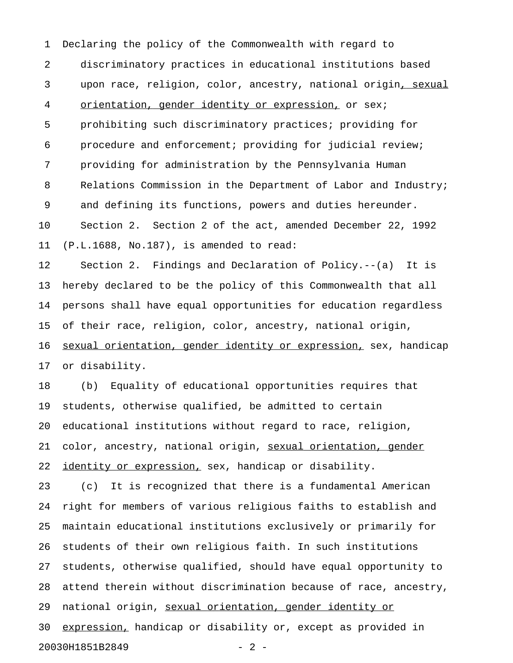1 Declaring the policy of the Commonwealth with regard to 2 discriminatory practices in educational institutions based 3 upon race, religion, color, ancestry, national origin, sexual 4 orientation, gender identity or expression, or sex; 5 prohibiting such discriminatory practices; providing for 6 procedure and enforcement; providing for judicial review; 7 providing for administration by the Pennsylvania Human 8 Relations Commission in the Department of Labor and Industry; 9 and defining its functions, powers and duties hereunder. 10 Section 2. Section 2 of the act, amended December 22, 1992 11 (P.L.1688, No.187), is amended to read:

12 Section 2. Findings and Declaration of Policy.--(a) It is 13 hereby declared to be the policy of this Commonwealth that all 14 persons shall have equal opportunities for education regardless 15 of their race, religion, color, ancestry, national origin, 16 sexual orientation, gender identity or expression, sex, handicap 17 or disability.

18 (b) Equality of educational opportunities requires that 19 students, otherwise qualified, be admitted to certain 20 educational institutions without regard to race, religion, 21 color, ancestry, national origin, sexual orientation, gender 22 identity or expression, sex, handicap or disability.

23 (c) It is recognized that there is a fundamental American 24 right for members of various religious faiths to establish and 25 maintain educational institutions exclusively or primarily for 26 students of their own religious faith. In such institutions 27 students, otherwise qualified, should have equal opportunity to 28 attend therein without discrimination because of race, ancestry, 29 national origin, sexual orientation, gender identity or 30 expression, handicap or disability or, except as provided in 20030H1851B2849 - 2 -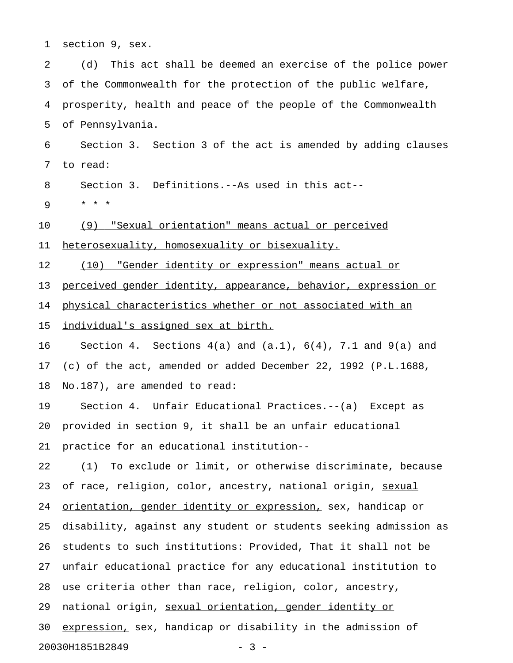1 section 9, sex.

2 (d) This act shall be deemed an exercise of the police power 3 of the Commonwealth for the protection of the public welfare, 4 prosperity, health and peace of the people of the Commonwealth 5 of Pennsylvania. 6 Section 3. Section 3 of the act is amended by adding clauses

7 to read:

8 Section 3. Definitions.--As used in this act--

9 \* \* \*

10 (9) "Sexual orientation" means actual or perceived

11 heterosexuality, homosexuality or bisexuality.

12 (10) "Gender identity or expression" means actual or

13 perceived gender identity, appearance, behavior, expression or

14 physical characteristics whether or not associated with an

15 individual's assigned sex at birth.

16 Section 4. Sections 4(a) and (a.1), 6(4), 7.1 and 9(a) and 17 (c) of the act, amended or added December 22, 1992 (P.L.1688, 18 No.187), are amended to read:

19 Section 4. Unfair Educational Practices.--(a) Except as 20 provided in section 9, it shall be an unfair educational 21 practice for an educational institution--

22 (1) To exclude or limit, or otherwise discriminate, because 23 of race, religion, color, ancestry, national origin, sexual 24 orientation, gender identity or expression, sex, handicap or 25 disability, against any student or students seeking admission as 26 students to such institutions: Provided, That it shall not be 27 unfair educational practice for any educational institution to 28 use criteria other than race, religion, color, ancestry, 29 national origin, sexual orientation, gender identity or 30 expression, sex, handicap or disability in the admission of 20030H1851B2849 - 3 -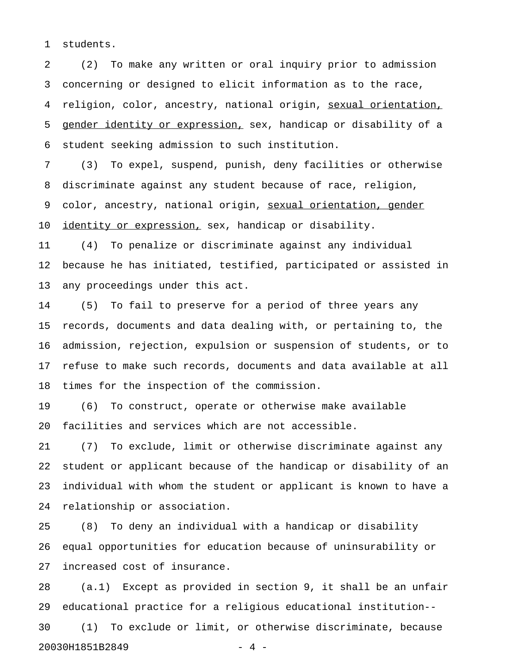1 students.

2 (2) To make any written or oral inquiry prior to admission 3 concerning or designed to elicit information as to the race, 4 religion, color, ancestry, national origin, sexual orientation, 5 gender identity or expression, sex, handicap or disability of a 6 student seeking admission to such institution.

7 (3) To expel, suspend, punish, deny facilities or otherwise 8 discriminate against any student because of race, religion, 9 color, ancestry, national origin, sexual orientation, gender 10 identity or expression, sex, handicap or disability.

11 (4) To penalize or discriminate against any individual 12 because he has initiated, testified, participated or assisted in 13 any proceedings under this act.

14 (5) To fail to preserve for a period of three years any 15 records, documents and data dealing with, or pertaining to, the 16 admission, rejection, expulsion or suspension of students, or to 17 refuse to make such records, documents and data available at all 18 times for the inspection of the commission.

19 (6) To construct, operate or otherwise make available 20 facilities and services which are not accessible.

21 (7) To exclude, limit or otherwise discriminate against any 22 student or applicant because of the handicap or disability of an 23 individual with whom the student or applicant is known to have a 24 relationship or association.

25 (8) To deny an individual with a handicap or disability 26 equal opportunities for education because of uninsurability or 27 increased cost of insurance.

28 (a.1) Except as provided in section 9, it shall be an unfair 29 educational practice for a religious educational institution-- 30 (1) To exclude or limit, or otherwise discriminate, because 20030H1851B2849 - 4 -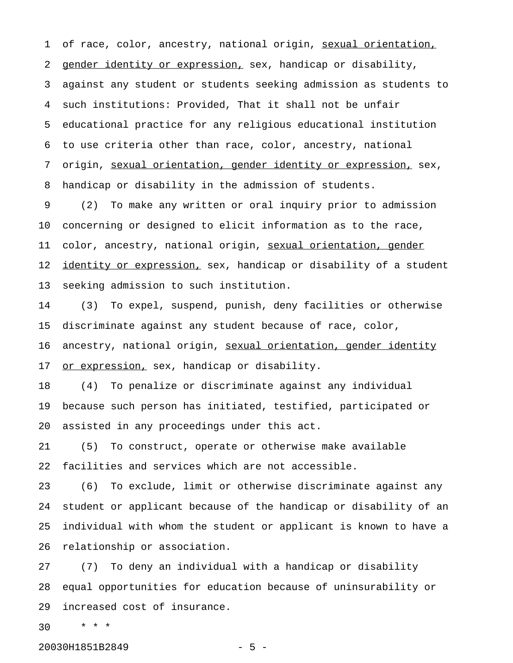1 of race, color, ancestry, national origin, sexual orientation, 2 gender identity or expression, sex, handicap or disability, 3 against any student or students seeking admission as students to 4 such institutions: Provided, That it shall not be unfair 5 educational practice for any religious educational institution 6 to use criteria other than race, color, ancestry, national 7 origin, sexual orientation, gender identity or expression, sex, 8 handicap or disability in the admission of students.

9 (2) To make any written or oral inquiry prior to admission 10 concerning or designed to elicit information as to the race, 11 color, ancestry, national origin, sexual orientation, gender 12 identity or expression, sex, handicap or disability of a student 13 seeking admission to such institution.

14 (3) To expel, suspend, punish, deny facilities or otherwise 15 discriminate against any student because of race, color, 16 ancestry, national origin, sexual orientation, gender identity 17 or expression, sex, handicap or disability.

18 (4) To penalize or discriminate against any individual 19 because such person has initiated, testified, participated or 20 assisted in any proceedings under this act.

21 (5) To construct, operate or otherwise make available 22 facilities and services which are not accessible.

23 (6) To exclude, limit or otherwise discriminate against any 24 student or applicant because of the handicap or disability of an 25 individual with whom the student or applicant is known to have a 26 relationship or association.

27 (7) To deny an individual with a handicap or disability 28 equal opportunities for education because of uninsurability or 29 increased cost of insurance.

30 \* \* \*

20030H1851B2849 - 5 -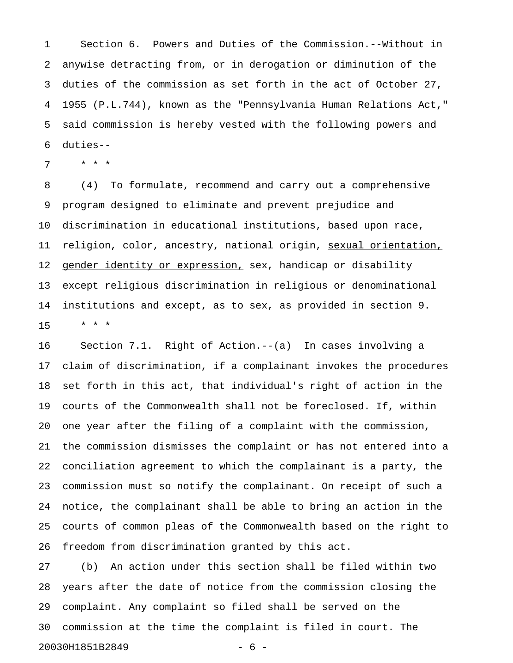1 Section 6. Powers and Duties of the Commission.--Without in 2 anywise detracting from, or in derogation or diminution of the 3 duties of the commission as set forth in the act of October 27, 4 1955 (P.L.744), known as the "Pennsylvania Human Relations Act," 5 said commission is hereby vested with the following powers and 6 duties--

7 \* \* \*

8 (4) To formulate, recommend and carry out a comprehensive 9 program designed to eliminate and prevent prejudice and 10 discrimination in educational institutions, based upon race, 11 religion, color, ancestry, national origin, sexual orientation, 12 gender identity or expression, sex, handicap or disability 13 except religious discrimination in religious or denominational 14 institutions and except, as to sex, as provided in section 9. 15 \* \* \*

16 Section 7.1. Right of Action.--(a) In cases involving a 17 claim of discrimination, if a complainant invokes the procedures 18 set forth in this act, that individual's right of action in the 19 courts of the Commonwealth shall not be foreclosed. If, within 20 one year after the filing of a complaint with the commission, 21 the commission dismisses the complaint or has not entered into a 22 conciliation agreement to which the complainant is a party, the 23 commission must so notify the complainant. On receipt of such a 24 notice, the complainant shall be able to bring an action in the 25 courts of common pleas of the Commonwealth based on the right to 26 freedom from discrimination granted by this act.

27 (b) An action under this section shall be filed within two 28 years after the date of notice from the commission closing the 29 complaint. Any complaint so filed shall be served on the 30 commission at the time the complaint is filed in court. The 20030H1851B2849 - 6 -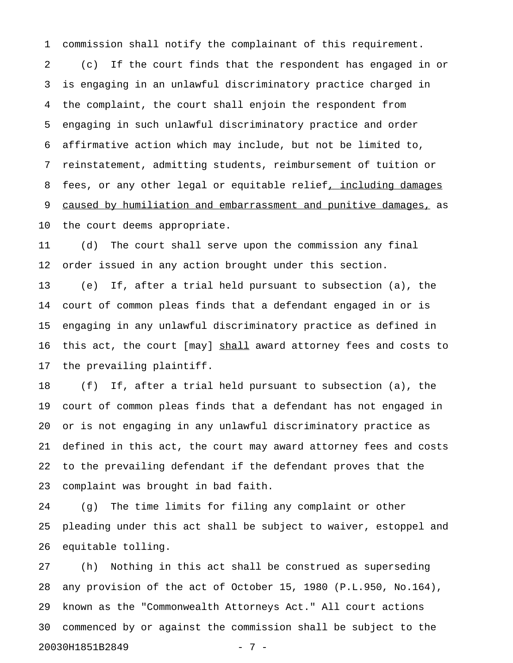1 commission shall notify the complainant of this requirement.

2 (c) If the court finds that the respondent has engaged in or 3 is engaging in an unlawful discriminatory practice charged in 4 the complaint, the court shall enjoin the respondent from 5 engaging in such unlawful discriminatory practice and order 6 affirmative action which may include, but not be limited to, 7 reinstatement, admitting students, reimbursement of tuition or 8 fees, or any other legal or equitable relief, including damages 9 caused by humiliation and embarrassment and punitive damages, as 10 the court deems appropriate.

11 (d) The court shall serve upon the commission any final 12 order issued in any action brought under this section.

13 (e) If, after a trial held pursuant to subsection (a), the 14 court of common pleas finds that a defendant engaged in or is 15 engaging in any unlawful discriminatory practice as defined in 16 this act, the court [may] shall award attorney fees and costs to 17 the prevailing plaintiff.

18 (f) If, after a trial held pursuant to subsection (a), the 19 court of common pleas finds that a defendant has not engaged in 20 or is not engaging in any unlawful discriminatory practice as 21 defined in this act, the court may award attorney fees and costs 22 to the prevailing defendant if the defendant proves that the 23 complaint was brought in bad faith.

24 (g) The time limits for filing any complaint or other 25 pleading under this act shall be subject to waiver, estoppel and 26 equitable tolling.

27 (h) Nothing in this act shall be construed as superseding 28 any provision of the act of October 15, 1980 (P.L.950, No.164), 29 known as the "Commonwealth Attorneys Act." All court actions 30 commenced by or against the commission shall be subject to the 20030H1851B2849 - 7 -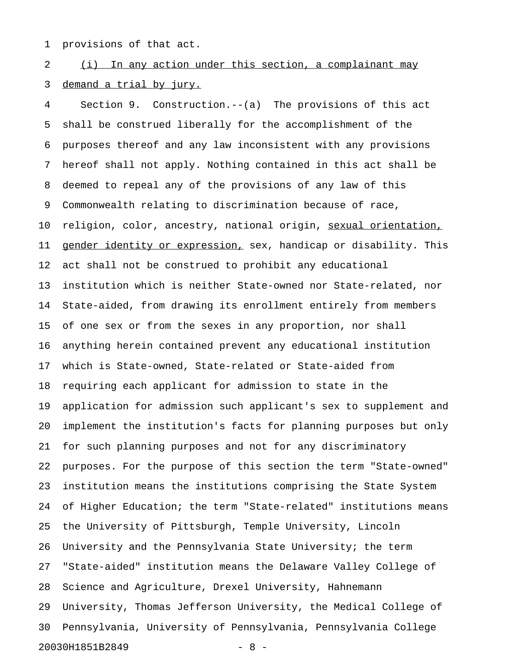1 provisions of that act.

2 (i) In any action under this section, a complainant may 3 demand a trial by jury.

4 Section 9. Construction.--(a) The provisions of this act 5 shall be construed liberally for the accomplishment of the 6 purposes thereof and any law inconsistent with any provisions 7 hereof shall not apply. Nothing contained in this act shall be 8 deemed to repeal any of the provisions of any law of this 9 Commonwealth relating to discrimination because of race, 10 religion, color, ancestry, national origin, sexual orientation, 11 gender identity or expression, sex, handicap or disability. This 12 act shall not be construed to prohibit any educational 13 institution which is neither State-owned nor State-related, nor 14 State-aided, from drawing its enrollment entirely from members 15 of one sex or from the sexes in any proportion, nor shall 16 anything herein contained prevent any educational institution 17 which is State-owned, State-related or State-aided from 18 requiring each applicant for admission to state in the 19 application for admission such applicant's sex to supplement and 20 implement the institution's facts for planning purposes but only 21 for such planning purposes and not for any discriminatory 22 purposes. For the purpose of this section the term "State-owned" 23 institution means the institutions comprising the State System 24 of Higher Education; the term "State-related" institutions means 25 the University of Pittsburgh, Temple University, Lincoln 26 University and the Pennsylvania State University; the term 27 "State-aided" institution means the Delaware Valley College of 28 Science and Agriculture, Drexel University, Hahnemann 29 University, Thomas Jefferson University, the Medical College of 30 Pennsylvania, University of Pennsylvania, Pennsylvania College 20030H1851B2849 - 8 -